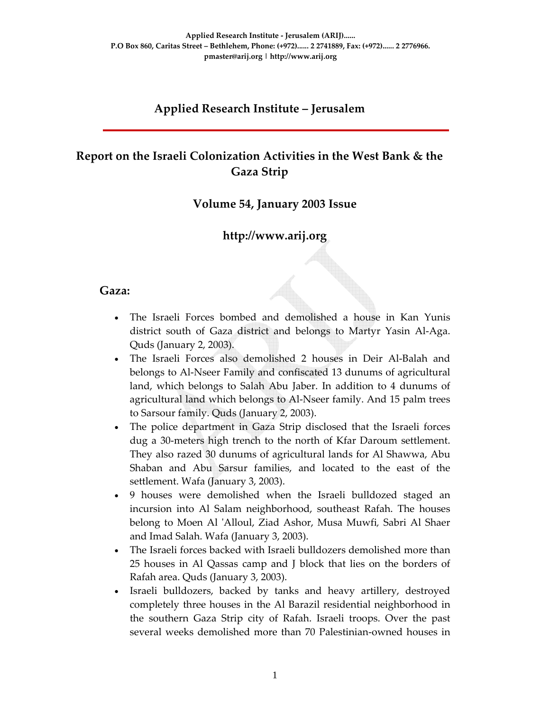## **Applied Research Institute – Jerusalem**

# **Report on the Israeli Colonization Activities in the West Bank & the Gaza Strip**

#### **Volume 54, January 2003 Issue**

## **http://www.arij.org**

#### **Gaza:**

- The Israeli Forces bombed and demolished a house in Kan Yunis district south of Gaza district and belongs to Martyr Yasin Al‐Aga. Quds (January 2, 2003).
- The Israeli Forces also demolished 2 houses in Deir Al‐Balah and belongs to Al‐Nseer Family and confiscated 13 dunums of agricultural land, which belongs to Salah Abu Jaber. In addition to 4 dunums of agricultural land which belongs to Al‐Nseer family. And 15 palm trees to Sarsour family. Quds (January 2, 2003).
- The police department in Gaza Strip disclosed that the Israeli forces dug a 30‐meters high trench to the north of Kfar Daroum settlement. They also razed 30 dunums of agricultural lands for Al Shawwa, Abu Shaban and Abu Sarsur families, and located to the east of the settlement. Wafa (January 3, 2003).
- 9 houses were demolished when the Israeli bulldozed staged an incursion into Al Salam neighborhood, southeast Rafah. The houses belong to Moen Al ʹAlloul, Ziad Ashor, Musa Muwfi*,* Sabri Al Shaer and Imad Salah. Wafa (January 3, 2003).
- The Israeli forces backed with Israeli bulldozers demolished more than 25 houses in Al Qassas camp and J block that lies on the borders of Rafah area. Quds (January 3, 2003).
- Israeli bulldozers, backed by tanks and heavy artillery, destroyed completely three houses in the Al Barazil residential neighborhood in the southern Gaza Strip city of Rafah. Israeli troops. Over the past several weeks demolished more than 70 Palestinian‐owned houses in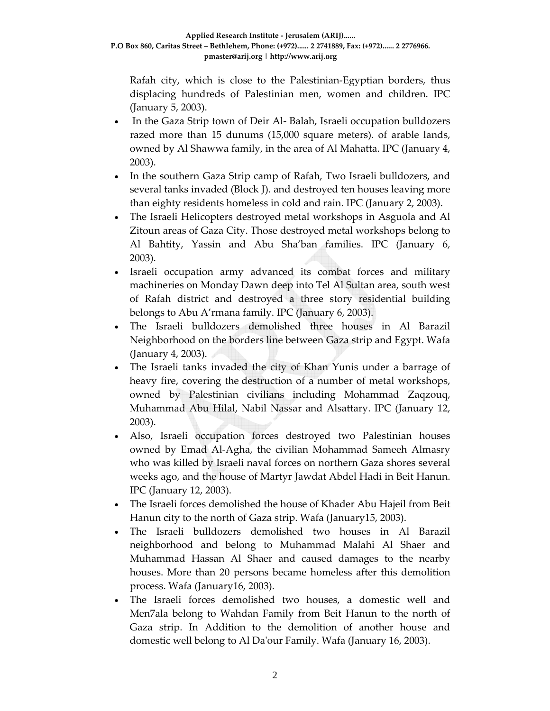Rafah city, which is close to the Palestinian‐Egyptian borders, thus displacing hundreds of Palestinian men, women and children. IPC (January 5, 2003).

- In the Gaza Strip town of Deir Al-Balah, Israeli occupation bulldozers razed more than 15 dunums (15,000 square meters). of arable lands, owned by Al Shawwa family, in the area of Al Mahatta. IPC (January 4, 2003).
- In the southern Gaza Strip camp of Rafah, Two Israeli bulldozers, and several tanks invaded (Block J). and destroyed ten houses leaving more than eighty residents homeless in cold and rain. IPC (January 2, 2003).
- The Israeli Helicopters destroyed metal workshops in Asguola and Al Zitoun areas of Gaza City. Those destroyed metal workshops belong to Al Bahtity, Yassin and Abu Sha'ban families. IPC (January 6, 2003).
- Israeli occupation army advanced its combat forces and military machineries on Monday Dawn deep into Tel Al Sultan area, south west of Rafah district and destroyed a three story residential building belongs to Abu A'rmana family. IPC (January 6, 2003).
- The Israeli bulldozers demolished three houses in Al Barazil Neighborhood on the borders line between Gaza strip and Egypt. Wafa (January 4, 2003).
- The Israeli tanks invaded the city of Khan Yunis under a barrage of heavy fire, covering the destruction of a number of metal workshops, owned by Palestinian civilians including Mohammad Zaqzouq, Muhammad Abu Hilal, Nabil Nassar and Alsattary. IPC (January 12, 2003).
- Also, Israeli occupation forces destroyed two Palestinian houses owned by Emad Al‐Agha, the civilian Mohammad Sameeh Almasry who was killed by Israeli naval forces on northern Gaza shores several weeks ago, and the house of Martyr Jawdat Abdel Hadi in Beit Hanun. IPC (January 12, 2003).
- The Israeli forces demolished the house of Khader Abu Hajeil from Beit Hanun city to the north of Gaza strip. Wafa (January15, 2003).
- The Israeli bulldozers demolished two houses in Al Barazil neighborhood and belong to Muhammad Malahi Al Shaer and Muhammad Hassan Al Shaer and caused damages to the nearby houses. More than 20 persons became homeless after this demolition process. Wafa (January16, 2003).
- The Israeli forces demolished two houses, a domestic well and Men7ala belong to Wahdan Family from Beit Hanun to the north of Gaza strip. In Addition to the demolition of another house and domestic well belong to Al Daʹour Family. Wafa (January 16, 2003).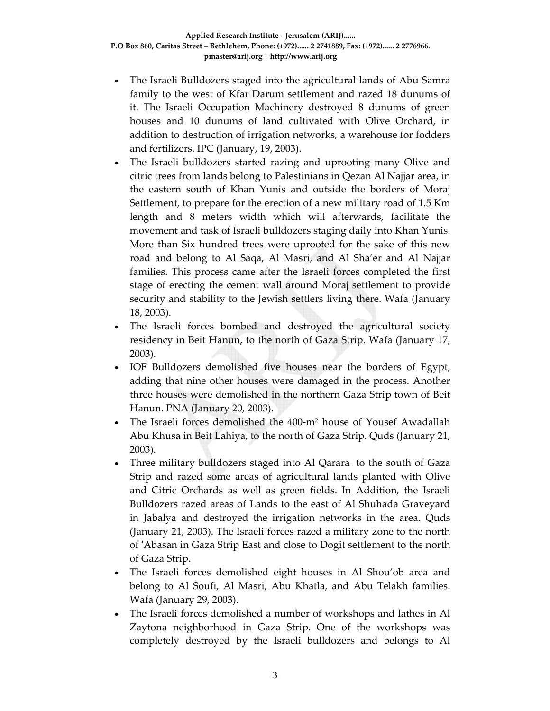- The Israeli Bulldozers staged into the agricultural lands of Abu Samra family to the west of Kfar Darum settlement and razed 18 dunums of it. The Israeli Occupation Machinery destroyed 8 dunums of green houses and 10 dunums of land cultivated with Olive Orchard, in addition to destruction of irrigation networks, a warehouse for fodders and fertilizers. IPC (January, 19, 2003).
- The Israeli bulldozers started razing and uprooting many Olive and citric trees from lands belong to Palestinians in Qezan Al Najjar area, in the eastern south of Khan Yunis and outside the borders of Moraj Settlement, to prepare for the erection of a new military road of 1.5 Km length and 8 meters width which will afterwards, facilitate the movement and task of Israeli bulldozers staging daily into Khan Yunis. More than Six hundred trees were uprooted for the sake of this new road and belong to Al Saqa, Al Masri, and Al Sha'er and Al Najjar families. This process came after the Israeli forces completed the first stage of erecting the cement wall around Moraj settlement to provide security and stability to the Jewish settlers living there. Wafa (January 18, 2003).
- The Israeli forces bombed and destroyed the agricultural society residency in Beit Hanun, to the north of Gaza Strip. Wafa (January 17, 2003).
- IOF Bulldozers demolished five houses near the borders of Egypt, adding that nine other houses were damaged in the process. Another three houses were demolished in the northern Gaza Strip town of Beit Hanun. PNA (January 20, 2003).
- The Israeli forces demolished the 400-m<sup>2</sup> house of Yousef Awadallah Abu Khusa in Beit Lahiya, to the north of Gaza Strip. Quds (January 21, 2003).
- Three military bulldozers staged into Al Qarara to the south of Gaza Strip and razed some areas of agricultural lands planted with Olive and Citric Orchards as well as green fields. In Addition, the Israeli Bulldozers razed areas of Lands to the east of Al Shuhada Graveyard in Jabalya and destroyed the irrigation networks in the area. Quds (January 21, 2003). The Israeli forces razed a military zone to the north of ʹAbasan in Gaza Strip East and close to Dogit settlement to the north of Gaza Strip.
- The Israeli forces demolished eight houses in Al Shou'ob area and belong to Al Soufi, Al Masri, Abu Khatla, and Abu Telakh families. Wafa (January 29, 2003).
- The Israeli forces demolished a number of workshops and lathes in Al Zaytona neighborhood in Gaza Strip. One of the workshops was completely destroyed by the Israeli bulldozers and belongs to Al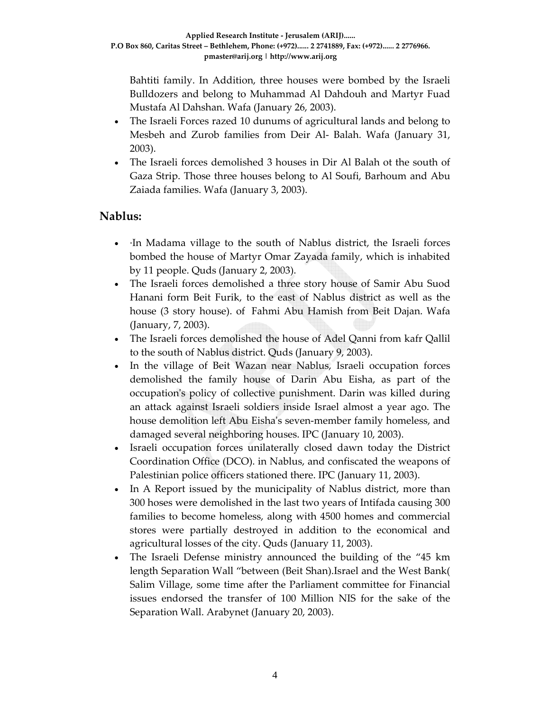Bahtiti family. In Addition, three houses were bombed by the Israeli Bulldozers and belong to Muhammad Al Dahdouh and Martyr Fuad Mustafa Al Dahshan. Wafa (January 26, 2003).

- The Israeli Forces razed 10 dunums of agricultural lands and belong to Mesbeh and Zurob families from Deir Al‐ Balah. Wafa (January 31, 2003).
- The Israeli forces demolished 3 houses in Dir Al Balah ot the south of Gaza Strip. Those three houses belong to Al Soufi, Barhoum and Abu Zaiada families. Wafa (January 3, 2003).

## **Nablus:**

- ∙In Madama village to the south of Nablus district, the Israeli forces bombed the house of Martyr Omar Zayada family, which is inhabited by 11 people. Quds (January 2, 2003).
- The Israeli forces demolished a three story house of Samir Abu Suod Hanani form Beit Furik, to the east of Nablus district as well as the house (3 story house). of Fahmi Abu Hamish from Beit Dajan. Wafa (January, 7, 2003).
- The Israeli forces demolished the house of Adel Qanni from kafr Qallil to the south of Nablus district. Quds (January 9, 2003).
- In the village of Beit Wazan near Nablus, Israeli occupation forces demolished the family house of Darin Abu Eisha, as part of the occupationʹs policy of collective punishment. Darin was killed during an attack against Israeli soldiers inside Israel almost a year ago. The house demolition left Abu Eisha's seven-member family homeless, and damaged several neighboring houses. IPC (January 10, 2003).
- Israeli occupation forces unilaterally closed dawn today the District Coordination Office (DCO). in Nablus, and confiscated the weapons of Palestinian police officers stationed there. IPC (January 11, 2003).
- In A Report issued by the municipality of Nablus district, more than 300 hoses were demolished in the last two years of Intifada causing 300 families to become homeless, along with 4500 homes and commercial stores were partially destroyed in addition to the economical and agricultural losses of the city. Quds (January 11, 2003).
- The Israeli Defense ministry announced the building of the "45 km length Separation Wall "between (Beit Shan).Israel and the West Bank( Salim Village, some time after the Parliament committee for Financial issues endorsed the transfer of 100 Million NIS for the sake of the Separation Wall. Arabynet (January 20, 2003).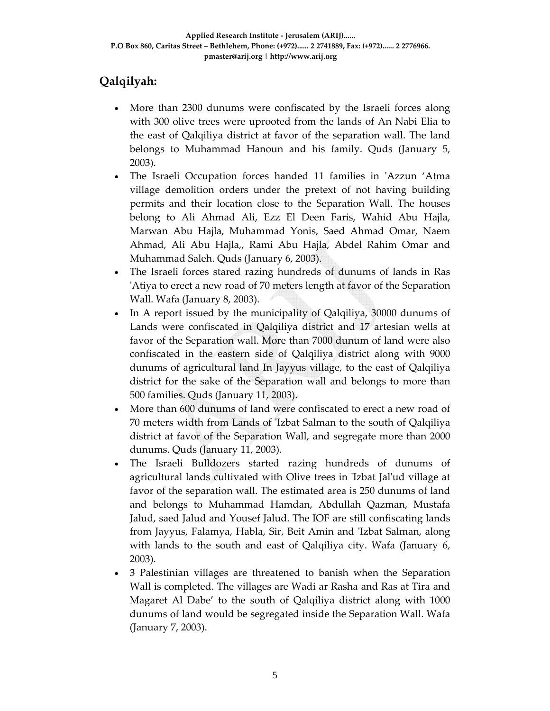# **Qalqilyah:**

- More than 2300 dunums were confiscated by the Israeli forces along with 300 olive trees were uprooted from the lands of An Nabi Elia to the east of Qalqiliya district at favor of the separation wall. The land belongs to Muhammad Hanoun and his family. Quds (January 5, 2003).
- The Israeli Occupation forces handed 11 families in 'Azzun 'Atma village demolition orders under the pretext of not having building permits and their location close to the Separation Wall. The houses belong to Ali Ahmad Ali, Ezz El Deen Faris, Wahid Abu Hajla, Marwan Abu Hajla, Muhammad Yonis, Saed Ahmad Omar, Naem Ahmad, Ali Abu Hajla,, Rami Abu Hajla, Abdel Rahim Omar and Muhammad Saleh. Quds (January 6, 2003).
- The Israeli forces stared razing hundreds of dunums of lands in Ras ʹAtiya to erect a new road of 70 meters length at favor of the Separation Wall. Wafa (January 8, 2003).
- In A report issued by the municipality of Qalqiliya, 30000 dunums of Lands were confiscated in Qalqiliya district and 17 artesian wells at favor of the Separation wall. More than 7000 dunum of land were also confiscated in the eastern side of Qalqiliya district along with 9000 dunums of agricultural land In Jayyus village, to the east of Qalqiliya district for the sake of the Separation wall and belongs to more than 500 families. Quds (January 11, 2003).
- More than 600 dunums of land were confiscated to erect a new road of 70 meters width from Lands of ʹIzbat Salman to the south of Qalqiliya district at favor of the Separation Wall, and segregate more than 2000 dunums. Quds (January 11, 2003).
- The Israeli Bulldozers started razing hundreds of dunums of agricultural lands cultivated with Olive trees in ʹIzbat Jalʹud village at favor of the separation wall. The estimated area is 250 dunums of land and belongs to Muhammad Hamdan, Abdullah Qazman, Mustafa Jalud, saed Jalud and Yousef Jalud. The IOF are still confiscating lands from Jayyus, Falamya, Habla, Sir, Beit Amin and ʹIzbat Salman, along with lands to the south and east of Qalqiliya city. Wafa (January 6, 2003).
- 3 Palestinian villages are threatened to banish when the Separation Wall is completed. The villages are Wadi ar Rasha and Ras at Tira and Magaret Al Dabe' to the south of Qalqiliya district along with 1000 dunums of land would be segregated inside the Separation Wall. Wafa (January 7, 2003).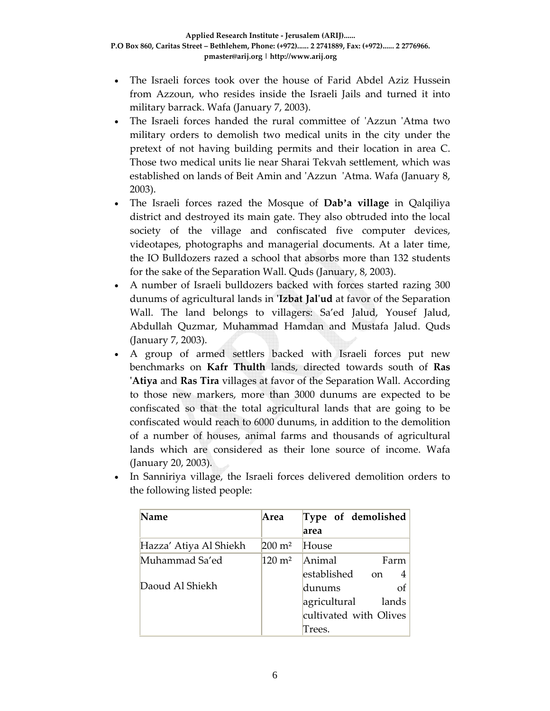- The Israeli forces took over the house of Farid Abdel Aziz Hussein from Azzoun, who resides inside the Israeli Jails and turned it into military barrack. Wafa (January 7, 2003).
- The Israeli forces handed the rural committee of 'Azzun 'Atma two military orders to demolish two medical units in the city under the pretext of not having building permits and their location in area C. Those two medical units lie near Sharai Tekvah settlement, which was established on lands of Beit Amin and ʹAzzun ʹAtma. Wafa (January 8, 2003).
- The Israeli forces razed the Mosque of **Dab'a village** in Qalqiliya district and destroyed its main gate. They also obtruded into the local society of the village and confiscated five computer devices, videotapes, photographs and managerial documents. At a later time, the IO Bulldozers razed a school that absorbs more than 132 students for the sake of the Separation Wall. Quds (January, 8, 2003).
- A number of Israeli bulldozers backed with forces started razing 300 dunums of agricultural lands in **ʹIzbat Jalʹud** at favor of the Separation Wall. The land belongs to villagers: Sa'ed Jalud, Yousef Jalud, Abdullah Quzmar, Muhammad Hamdan and Mustafa Jalud. Quds (January 7, 2003).
- A group of armed settlers backed with Israeli forces put new benchmarks on **Kafr Thulth** lands, directed towards south of **Ras ʹAtiya** and **Ras Tira** villages at favor of the Separation Wall. According to those new markers, more than 3000 dunums are expected to be confiscated so that the total agricultural lands that are going to be confiscated would reach to 6000 dunums, in addition to the demolition of a number of houses, animal farms and thousands of agricultural lands which are considered as their lone source of income. Wafa (January 20, 2003).

| <b>Name</b>                       | Area              | Type of demolished<br>area                                                                                        |
|-----------------------------------|-------------------|-------------------------------------------------------------------------------------------------------------------|
| Hazza' Atiya Al Shiekh            | $200 \text{ m}^2$ | House                                                                                                             |
| Muhammad Sa'ed<br>Daoud Al Shiekh | $120 \text{ m}^2$ | Animal<br>Farm<br>established<br>on.<br>dunums<br>Ωf<br>agricultural<br>lands<br>cultivated with Olives<br>Trees. |

• In Sanniriya village, the Israeli forces delivered demolition orders to the following listed people: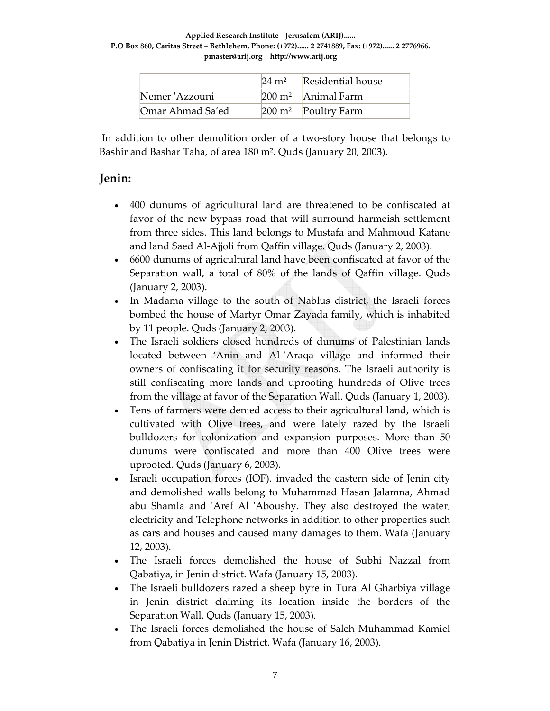|                  | $24 \text{ m}^2$ | <b>Residential house</b>       |
|------------------|------------------|--------------------------------|
| Nemer 'Azzouni   |                  | $200 \text{ m}^2$ Animal Farm  |
| Omar Ahmad Sa'ed |                  | $200 \text{ m}^2$ Poultry Farm |

In addition to other demolition order of a two-story house that belongs to Bashir and Bashar Taha, of area 180 m². Quds (January 20, 2003).

## **Jenin:**

- 400 dunums of agricultural land are threatened to be confiscated at favor of the new bypass road that will surround harmeish settlement from three sides. This land belongs to Mustafa and Mahmoud Katane and land Saed Al‐Ajjoli from Qaffin village. Quds (January 2, 2003).
- 6600 dunums of agricultural land have been confiscated at favor of the Separation wall, a total of 80% of the lands of Qaffin village. Quds (January 2, 2003).
- In Madama village to the south of Nablus district, the Israeli forces bombed the house of Martyr Omar Zayada family, which is inhabited by 11 people. Quds (January 2, 2003).
- The Israeli soldiers closed hundreds of dunums of Palestinian lands located between 'Anin and Al‐'Araqa village and informed their owners of confiscating it for security reasons. The Israeli authority is still confiscating more lands and uprooting hundreds of Olive trees from the village at favor of the Separation Wall. Quds (January 1, 2003).
- Tens of farmers were denied access to their agricultural land, which is cultivated with Olive trees, and were lately razed by the Israeli bulldozers for colonization and expansion purposes. More than 50 dunums were confiscated and more than 400 Olive trees were uprooted. Quds (January 6, 2003).
- Israeli occupation forces (IOF). invaded the eastern side of Jenin city and demolished walls belong to Muhammad Hasan Jalamna, Ahmad abu Shamla and 'Aref Al 'Aboushy. They also destroyed the water, electricity and Telephone networks in addition to other properties such as cars and houses and caused many damages to them. Wafa (January 12, 2003).
- The Israeli forces demolished the house of Subhi Nazzal from Qabatiya, in Jenin district. Wafa (January 15, 2003).
- The Israeli bulldozers razed a sheep byre in Tura Al Gharbiya village in Jenin district claiming its location inside the borders of the Separation Wall. Quds (January 15, 2003).
- The Israeli forces demolished the house of Saleh Muhammad Kamiel from Qabatiya in Jenin District. Wafa (January 16, 2003).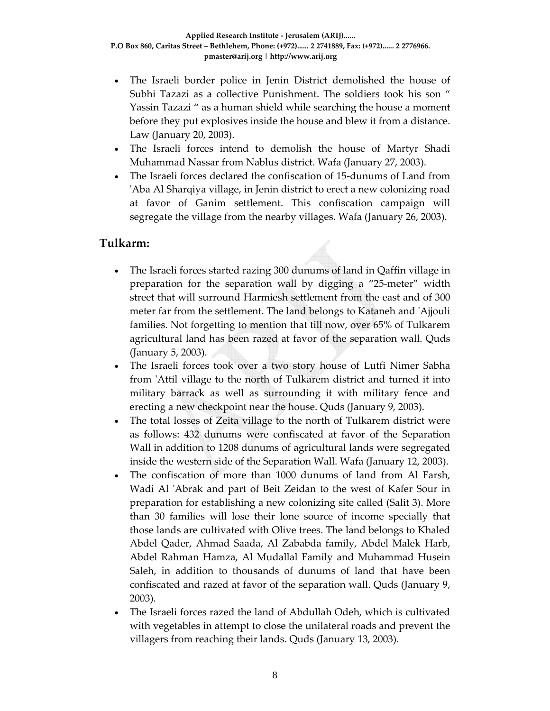- The Israeli border police in Jenin District demolished the house of Subhi Tazazi as a collective Punishment. The soldiers took his son " Yassin Tazazi " as a human shield while searching the house a moment before they put explosives inside the house and blew it from a distance. Law (January 20, 2003).
- The Israeli forces intend to demolish the house of Martyr Shadi Muhammad Nassar from Nablus district. Wafa (January 27, 2003).
- The Israeli forces declared the confiscation of 15‐dunums of Land from 'Aba Al Sharqiya village, in Jenin district to erect a new colonizing road at favor of Ganim settlement. This confiscation campaign will segregate the village from the nearby villages. Wafa (January 26, 2003).

## **Tulkarm:**

- The Israeli forces started razing 300 dunums of land in Qaffin village in preparation for the separation wall by digging a "25-meter" width street that will surround Harmiesh settlement from the east and of 300 meter far from the settlement. The land belongs to Kataneh and ʹAjjouli families. Not forgetting to mention that till now, over 65% of Tulkarem agricultural land has been razed at favor of the separation wall. Quds (January 5, 2003).
- The Israeli forces took over a two story house of Lutfi Nimer Sabha from 'Attil village to the north of Tulkarem district and turned it into military barrack as well as surrounding it with military fence and erecting a new checkpoint near the house. Quds (January 9, 2003).
- The total losses of Zeita village to the north of Tulkarem district were as follows: 432 dunums were confiscated at favor of the Separation Wall in addition to 1208 dunums of agricultural lands were segregated inside the western side of the Separation Wall. Wafa (January 12, 2003).
- The confiscation of more than 1000 dunums of land from Al Farsh, Wadi Al 'Abrak and part of Beit Zeidan to the west of Kafer Sour in preparation for establishing a new colonizing site called (Salit 3). More than 30 families will lose their lone source of income specially that those lands are cultivated with Olive trees. The land belongs to Khaled Abdel Qader, Ahmad Saada, Al Zababda family, Abdel Malek Harb, Abdel Rahman Hamza, Al Mudallal Family and Muhammad Husein Saleh, in addition to thousands of dunums of land that have been confiscated and razed at favor of the separation wall. Quds (January 9, 2003).
- The Israeli forces razed the land of Abdullah Odeh, which is cultivated with vegetables in attempt to close the unilateral roads and prevent the villagers from reaching their lands. Quds (January 13, 2003).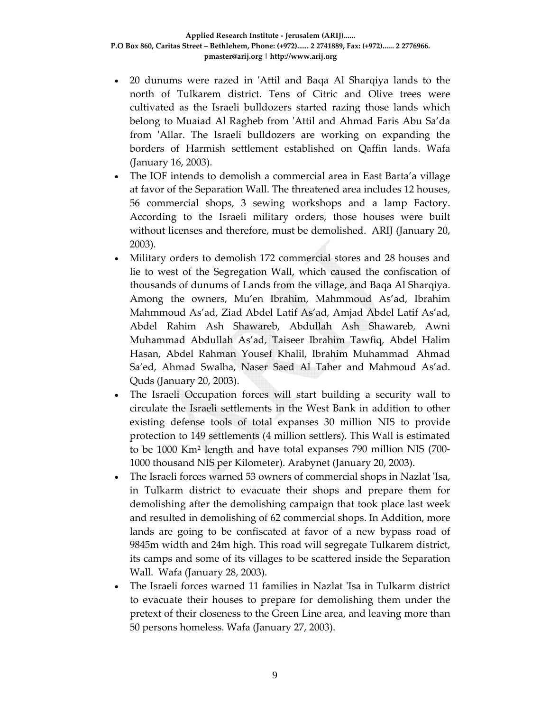- 20 dunums were razed in ʹAttil and Baqa Al Sharqiya lands to the north of Tulkarem district. Tens of Citric and Olive trees were cultivated as the Israeli bulldozers started razing those lands which belong to Muaiad Al Ragheb from ʹAttil and Ahmad Faris Abu Sa'da from ʹAllar. The Israeli bulldozers are working on expanding the borders of Harmish settlement established on Qaffin lands. Wafa (January 16, 2003).
- The IOF intends to demolish a commercial area in East Barta'a village at favor of the Separation Wall. The threatened area includes 12 houses, 56 commercial shops, 3 sewing workshops and a lamp Factory. According to the Israeli military orders, those houses were built without licenses and therefore, must be demolished. ARIJ (January 20, 2003).
- Military orders to demolish 172 commercial stores and 28 houses and lie to west of the Segregation Wall, which caused the confiscation of thousands of dunums of Lands from the village, and Baqa Al Sharqiya. Among the owners, Mu'en Ibrahim, Mahmmoud As'ad, Ibrahim Mahmmoud As'ad, Ziad Abdel Latif As'ad, Amjad Abdel Latif As'ad, Abdel Rahim Ash Shawareb, Abdullah Ash Shawareb, Awni Muhammad Abdullah As'ad, Taiseer Ibrahim Tawfiq, Abdel Halim Hasan, Abdel Rahman Yousef Khalil, Ibrahim Muhammad Ahmad Sa'ed, Ahmad Swalha, Naser Saed Al Taher and Mahmoud As'ad. Quds (January 20, 2003).
- The Israeli Occupation forces will start building a security wall to circulate the Israeli settlements in the West Bank in addition to other existing defense tools of total expanses 30 million NIS to provide protection to 149 settlements (4 million settlers). This Wall is estimated to be 1000 Km² length and have total expanses 790 million NIS (700‐ 1000 thousand NIS per Kilometer). Arabynet (January 20, 2003).
- The Israeli forces warned 53 owners of commercial shops in Nazlat ʹIsa, in Tulkarm district to evacuate their shops and prepare them for demolishing after the demolishing campaign that took place last week and resulted in demolishing of 62 commercial shops. In Addition, more lands are going to be confiscated at favor of a new bypass road of 9845m width and 24m high. This road will segregate Tulkarem district, its camps and some of its villages to be scattered inside the Separation Wall. Wafa (January 28, 2003).
- The Israeli forces warned 11 families in Nazlat ʹIsa in Tulkarm district to evacuate their houses to prepare for demolishing them under the pretext of their closeness to the Green Line area, and leaving more than 50 persons homeless. Wafa (January 27, 2003).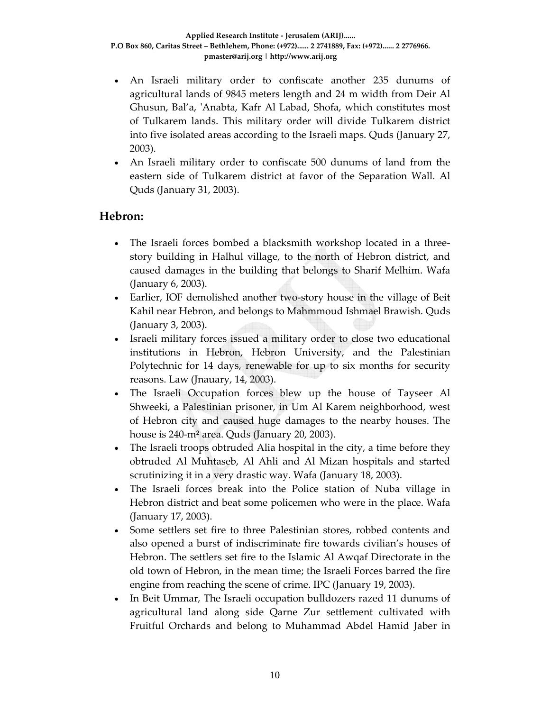- An Israeli military order to confiscate another 235 dunums of agricultural lands of 9845 meters length and 24 m width from Deir Al Ghusun, Bal'a, 'Anabta, Kafr Al Labad, Shofa, which constitutes most of Tulkarem lands. This military order will divide Tulkarem district into five isolated areas according to the Israeli maps. Quds (January 27, 2003).
- An Israeli military order to confiscate 500 dunums of land from the eastern side of Tulkarem district at favor of the Separation Wall. Al Quds (January 31, 2003).

## **Hebron:**

- The Israeli forces bombed a blacksmith workshop located in a threestory building in Halhul village, to the north of Hebron district, and caused damages in the building that belongs to Sharif Melhim. Wafa (January 6, 2003).
- Earlier, IOF demolished another two-story house in the village of Beit Kahil near Hebron, and belongs to Mahmmoud Ishmael Brawish. Quds (January 3, 2003).
- Israeli military forces issued a military order to close two educational institutions in Hebron, Hebron University, and the Palestinian Polytechnic for 14 days, renewable for up to six months for security reasons. Law (Jnauary, 14, 2003).
- The Israeli Occupation forces blew up the house of Tayseer Al Shweeki, a Palestinian prisoner, in Um Al Karem neighborhood, west of Hebron city and caused huge damages to the nearby houses. The house is 240‐m² area. Quds (January 20, 2003).
- The Israeli troops obtruded Alia hospital in the city, a time before they obtruded Al Muhtaseb, Al Ahli and Al Mizan hospitals and started scrutinizing it in a very drastic way. Wafa (January 18, 2003).
- The Israeli forces break into the Police station of Nuba village in Hebron district and beat some policemen who were in the place. Wafa (January 17, 2003).
- Some settlers set fire to three Palestinian stores, robbed contents and also opened a burst of indiscriminate fire towards civilian's houses of Hebron. The settlers set fire to the Islamic Al Awqaf Directorate in the old town of Hebron, in the mean time; the Israeli Forces barred the fire engine from reaching the scene of crime. IPC (January 19, 2003).
- In Beit Ummar, The Israeli occupation bulldozers razed 11 dunums of agricultural land along side Qarne Zur settlement cultivated with Fruitful Orchards and belong to Muhammad Abdel Hamid Jaber in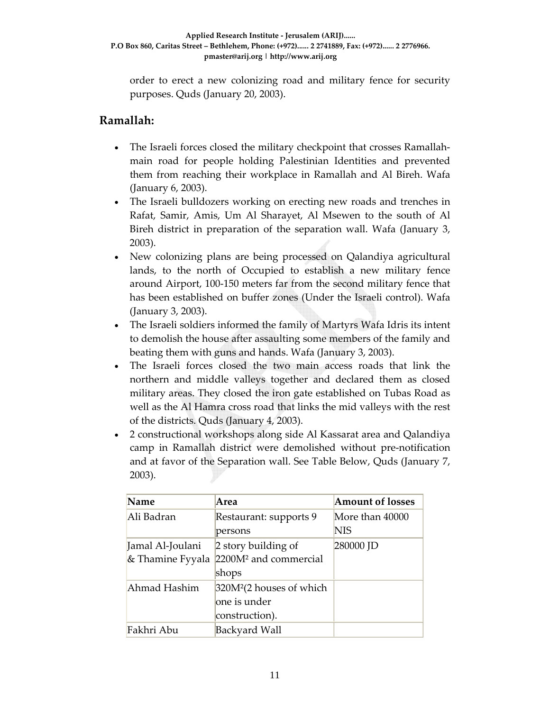order to erect a new colonizing road and military fence for security purposes. Quds (January 20, 2003).

#### **Ramallah:**

- The Israeli forces closed the military checkpoint that crosses Ramallahmain road for people holding Palestinian Identities and prevented them from reaching their workplace in Ramallah and Al Bireh. Wafa (January 6, 2003).
- The Israeli bulldozers working on erecting new roads and trenches in Rafat, Samir, Amis, Um Al Sharayet, Al Msewen to the south of Al Bireh district in preparation of the separation wall. Wafa (January 3, 2003).
- New colonizing plans are being processed on Qalandiya agricultural lands, to the north of Occupied to establish a new military fence around Airport, 100‐150 meters far from the second military fence that has been established on buffer zones (Under the Israeli control). Wafa (January 3, 2003).
- The Israeli soldiers informed the family of Martyrs Wafa Idris its intent to demolish the house after assaulting some members of the family and beating them with guns and hands. Wafa (January 3, 2003).
- The Israeli forces closed the two main access roads that link the northern and middle valleys together and declared them as closed military areas. They closed the iron gate established on Tubas Road as well as the Al Hamra cross road that links the mid valleys with the rest of the districts. Quds (January 4, 2003).
- 2 constructional workshops along side Al Kassarat area and Qalandiya camp in Ramallah district were demolished without pre‐notification and at favor of the Separation wall. See Table Below, Quds (January 7, 2003).

| Name             | Area                                 | <b>Amount of losses</b> |
|------------------|--------------------------------------|-------------------------|
| Ali Badran       | Restaurant: supports 9               | More than 40000         |
|                  | persons                              | <b>NIS</b>              |
| Jamal Al-Joulani | 2 story building of                  | 280000 JD               |
| & Thamine Fyyala | 2200M <sup>2</sup> and commercial    |                         |
|                  | shops                                |                         |
| Ahmad Hashim     | 320M <sup>2</sup> (2 houses of which |                         |
|                  | one is under                         |                         |
|                  | construction).                       |                         |
| Fakhri Abu       | Backyard Wall                        |                         |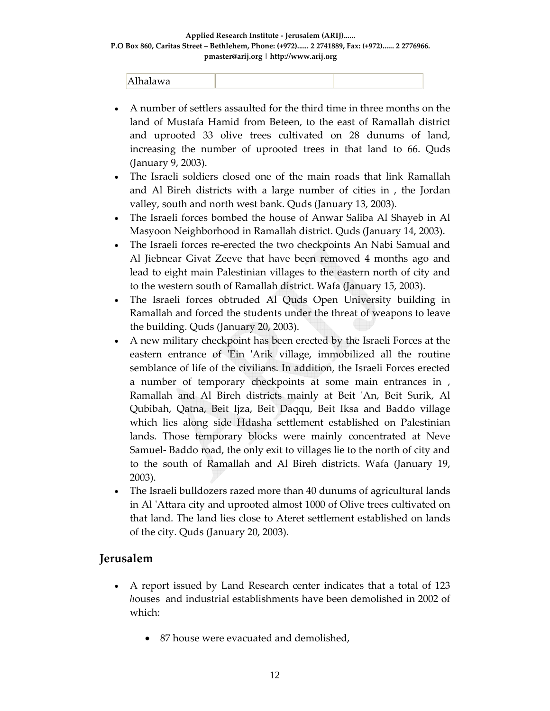| . .<br>$\mathbf{M}$<br><b>CALLINANS</b><br>້<br>. . |  |  |
|-----------------------------------------------------|--|--|
|-----------------------------------------------------|--|--|

- A number of settlers assaulted for the third time in three months on the land of Mustafa Hamid from Beteen, to the east of Ramallah district and uprooted 33 olive trees cultivated on 28 dunums of land, increasing the number of uprooted trees in that land to 66. Quds (January 9, 2003).
- The Israeli soldiers closed one of the main roads that link Ramallah and Al Bireh districts with a large number of cities in , the Jordan valley, south and north west bank. Quds (January 13, 2003).
- The Israeli forces bombed the house of Anwar Saliba Al Shayeb in Al Masyoon Neighborhood in Ramallah district. Quds (January 14, 2003).
- The Israeli forces re‐erected the two checkpoints An Nabi Samual and Al Jiebnear Givat Zeeve that have been removed 4 months ago and lead to eight main Palestinian villages to the eastern north of city and to the western south of Ramallah district. Wafa (January 15, 2003).
- The Israeli forces obtruded Al Quds Open University building in Ramallah and forced the students under the threat of weapons to leave the building. Quds (January 20, 2003).
- A new military checkpoint has been erected by the Israeli Forces at the eastern entrance of 'Ein 'Arik village, immobilized all the routine semblance of life of the civilians. In addition, the Israeli Forces erected a number of temporary checkpoints at some main entrances in , Ramallah and Al Bireh districts mainly at Beit ʹAn, Beit Surik, Al Qubibah, Qatna, Beit Ijza, Beit Daqqu, Beit Iksa and Baddo village which lies along side Hdasha settlement established on Palestinian lands. Those temporary blocks were mainly concentrated at Neve Samuel‐ Baddo road, the only exit to villages lie to the north of city and to the south of Ramallah and Al Bireh districts. Wafa (January 19, 2003).
- The Israeli bulldozers razed more than 40 dunums of agricultural lands in Al ʹAttara city and uprooted almost 1000 of Olive trees cultivated on that land. The land lies close to Ateret settlement established on lands of the city. Quds (January 20, 2003).

## **Jerusalem**

- A report issued by Land Research center indicates that a total of 123 *h*ouses and industrial establishments have been demolished in 2002 of which:
	- 87 house were evacuated and demolished,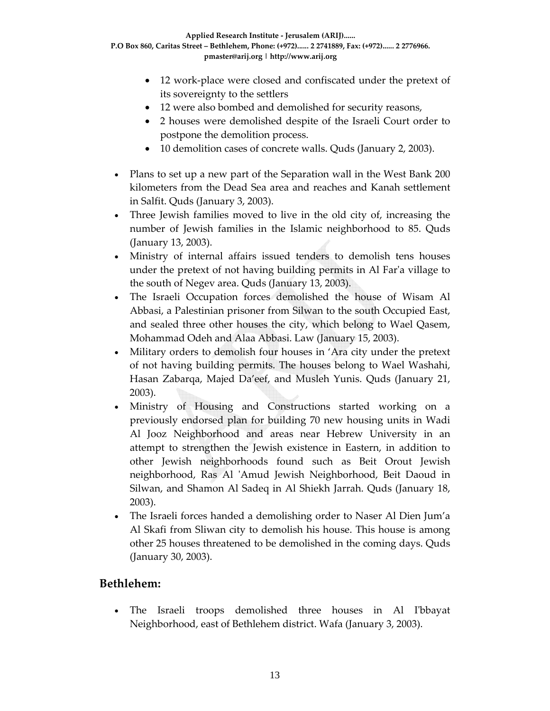**Applied Research Institute ‐ Jerusalem (ARIJ)...... P.O Box 860, Caritas Street – Bethlehem, Phone: (+972)...... 2 2741889, Fax: (+972)...... 2 2776966. pmaster@arij.org | http://www.arij.org**

- 12 work-place were closed and confiscated under the pretext of its sovereignty to the settlers
- 12 were also bombed and demolished for security reasons,
- 2 houses were demolished despite of the Israeli Court order to postpone the demolition process.
- 10 demolition cases of concrete walls. Quds (January 2, 2003).
- Plans to set up a new part of the Separation wall in the West Bank 200 kilometers from the Dead Sea area and reaches and Kanah settlement in Salfit. Quds (January 3, 2003).
- Three Jewish families moved to live in the old city of, increasing the number of Jewish families in the Islamic neighborhood to 85. Quds (January 13, 2003).
- Ministry of internal affairs issued tenders to demolish tens houses under the pretext of not having building permits in Al Farʹa village to the south of Negev area. Quds (January 13, 2003).
- The Israeli Occupation forces demolished the house of Wisam Al Abbasi, a Palestinian prisoner from Silwan to the south Occupied East, and sealed three other houses the city, which belong to Wael Qasem, Mohammad Odeh and Alaa Abbasi. Law (January 15, 2003).
- Military orders to demolish four houses in 'Ara city under the pretext of not having building permits. The houses belong to Wael Washahi, Hasan Zabarqa, Majed Da'eef, and Musleh Yunis. Quds (January 21, 2003).
- Ministry of Housing and Constructions started working on a previously endorsed plan for building 70 new housing units in Wadi Al Jooz Neighborhood and areas near Hebrew University in an attempt to strengthen the Jewish existence in Eastern, in addition to other Jewish neighborhoods found such as Beit Orout Jewish neighborhood, Ras Al 'Amud Jewish Neighborhood, Beit Daoud in Silwan, and Shamon Al Sadeq in Al Shiekh Jarrah. Quds (January 18, 2003).
- The Israeli forces handed a demolishing order to Naser Al Dien Jum'a Al Skafi from Sliwan city to demolish his house. This house is among other 25 houses threatened to be demolished in the coming days. Quds (January 30, 2003).

## **Bethlehem:**

• The Israeli troops demolished three houses in Al I'bbayat Neighborhood, east of Bethlehem district. Wafa (January 3, 2003).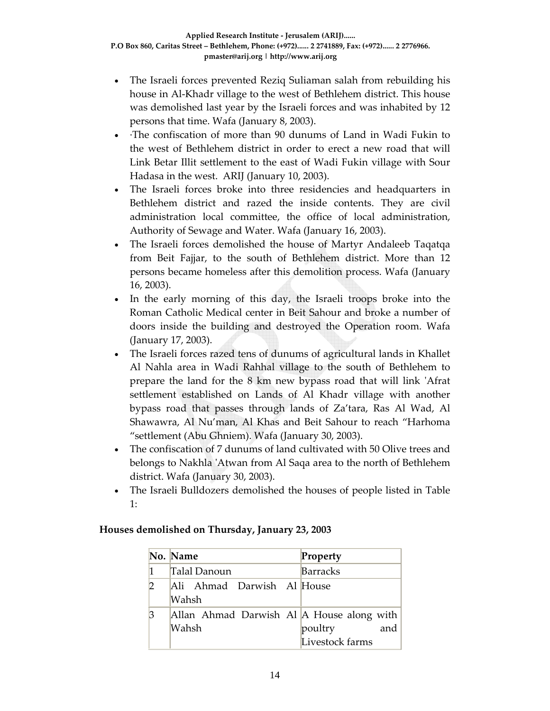- The Israeli forces prevented Reziq Suliaman salah from rebuilding his house in Al‐Khadr village to the west of Bethlehem district. This house was demolished last year by the Israeli forces and was inhabited by 12 persons that time. Wafa (January 8, 2003).
- ∙The confiscation of more than 90 dunums of Land in Wadi Fukin to the west of Bethlehem district in order to erect a new road that will Link Betar Illit settlement to the east of Wadi Fukin village with Sour Hadasa in the west. ARIJ (January 10, 2003).
- The Israeli forces broke into three residencies and headquarters in Bethlehem district and razed the inside contents. They are civil administration local committee, the office of local administration, Authority of Sewage and Water. Wafa (January 16, 2003).
- The Israeli forces demolished the house of Martyr Andaleeb Taqatqa from Beit Fajjar, to the south of Bethlehem district. More than 12 persons became homeless after this demolition process. Wafa (January 16, 2003).
- In the early morning of this day, the Israeli troops broke into the Roman Catholic Medical center in Beit Sahour and broke a number of doors inside the building and destroyed the Operation room. Wafa (January 17, 2003).
- The Israeli forces razed tens of dunums of agricultural lands in Khallet Al Nahla area in Wadi Rahhal village to the south of Bethlehem to prepare the land for the 8 km new bypass road that will link 'Afrat settlement established on Lands of Al Khadr village with another bypass road that passes through lands of Za'tara, Ras Al Wad, Al Shawawra, Al Nu'man, Al Khas and Beit Sahour to reach "Harhoma "settlement (Abu Ghniem). Wafa (January 30, 2003).
- The confiscation of 7 dunums of land cultivated with 50 Olive trees and belongs to Nakhla 'Atwan from Al Saqa area to the north of Bethlehem district. Wafa (January 30, 2003).
- The Israeli Bulldozers demolished the houses of people listed in Table 1:

#### **Houses demolished on Thursday, January 23, 2003**

|               | No. Name                                           | Property                          |  |
|---------------|----------------------------------------------------|-----------------------------------|--|
|               | Talal Danoun                                       | <b>Barracks</b>                   |  |
| $\mathcal{D}$ | Ali Ahmad Darwish Al House<br>Wahsh                |                                   |  |
| 3             | Allan Ahmad Darwish Al A House along with<br>Wahsh | poultry<br>and<br>Livestock farms |  |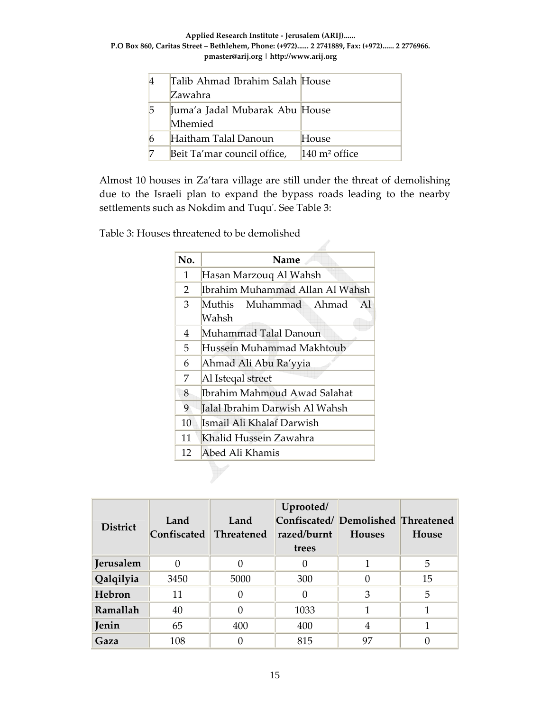**Applied Research Institute ‐ Jerusalem (ARIJ)...... P.O Box 860, Caritas Street – Bethlehem, Phone: (+972)...... 2 2741889, Fax: (+972)...... 2 2776966. pmaster@arij.org | http://www.arij.org**

|   | Talib Ahmad Ibrahim Salah House |                          |
|---|---------------------------------|--------------------------|
|   | Zawahra                         |                          |
| 5 | Juma'a Jadal Mubarak Abu House  |                          |
|   | Mhemied                         |                          |
|   | Haitham Talal Danoun            | House                    |
|   | Beit Ta'mar council office,     | $140 \text{ m}^2$ office |

Almost 10 houses in Za'tara village are still under the threat of demolishing due to the Israeli plan to expand the bypass roads leading to the nearby settlements such as Nokdim and Tuqu'. See Table 3:

Table 3: Houses threatened to be demolished

| No. | Name                                 |  |  |
|-----|--------------------------------------|--|--|
| 1   | Hasan Marzouq Al Wahsh               |  |  |
| 2   | Ibrahim Muhammad Allan Al Wahsh      |  |  |
| 3   | Muthis Muhammad Ahmad<br>Al<br>Wahsh |  |  |
| 4   | Muhammad Talal Danoun                |  |  |
| 5.  | Hussein Muhammad Makhtoub            |  |  |
| 6   | Ahmad Ali Abu Ra'yyia                |  |  |
| 7   | Al Isteqal street                    |  |  |
| 8   | Ibrahim Mahmoud Awad Salahat         |  |  |
| 9   | Jalal Ibrahim Darwish Al Wahsh       |  |  |
| 10  | Ismail Ali Khalaf Darwish            |  |  |
| 11  | Khalid Hussein Zawahra               |  |  |
| 12  | Abed Ali Khamis                      |  |  |

| <b>District</b> | Land<br>Confiscated | Land<br>Threatened | Uprooted/<br>Confiscated/ Demolished Threatened<br>razed/burnt<br>trees | <b>Houses</b> | House |
|-----------------|---------------------|--------------------|-------------------------------------------------------------------------|---------------|-------|
| Jerusalem       |                     |                    |                                                                         |               | 5     |
| Qalqilyia       | 3450                | 5000               | 300                                                                     |               | 15    |
| Hebron          | 11                  |                    | 0                                                                       | 3             | 5     |
| Ramallah        | 40                  |                    | 1033                                                                    |               |       |
| Jenin           | 65                  | 400                | 400                                                                     | 4             |       |
| Gaza            | 108                 |                    | 815                                                                     | 97            |       |